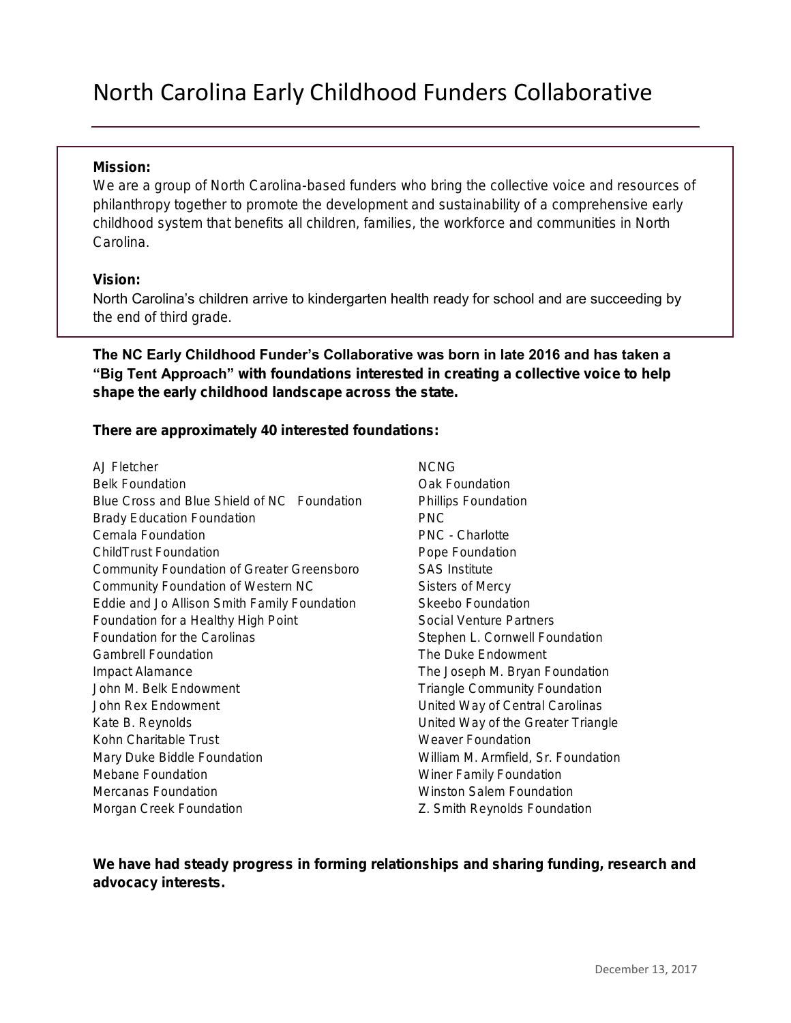## North Carolina Early Childhood Funders Collaborative

## Mission:

We are a group of North Carolina-based funders who bring the collective voice and resources of philanthropy together to promote the development and sustainability of a comprehensive early childhood system that benefits all children, families, the workforce and communities in North Carolina.

## Vision:

North Carolina's children arrive to kindergarten health ready for school and are succeeding by the end of third grade.

The NC Early Childhood Funder's Collaborative was born in late 2016 and has taken a "Big Tent Approach" with foundations interested in creating a collective voice to help shape the early childhood landscape across the state.

There are approximately 40 interested foundations:

- AJ Fletcher Belk Foundation Blue Cross and Blue Shield of NC Foundation Brady Education Foundation Cemala Foundation ChildTrust Foundation Community Foundation of Greater Greensboro Community Foundation of Western NC Eddie and Jo Allison Smith Family Foundation Foundation for a Healthy High Point Foundation for the Carolinas Gambrell Foundation Impact Alamance John M. Belk Endowment John Rex Endowment Kate B. Reynolds Kohn Charitable Trust Mary Duke Biddle Foundation Mebane Foundation Mercanas Foundation Morgan Creek Foundation
- NCNG Oak Foundation Phillips Foundation PNC PNC - Charlotte Pope Foundation SAS Institute Sisters of Mercy Skeebo Foundation Social Venture Partners Stephen L. Cornwell Foundation The Duke Endowment The Joseph M. Bryan Foundation Triangle Community Foundation United Way of Central Carolinas United Way of the Greater Triangle Weaver Foundation William M. Armfield, Sr. Foundation Winer Family Foundation Winston Salem Foundation Z. Smith Reynolds Foundation

We have had steady progress in forming relationships and sharing funding, research and advocacy interests.